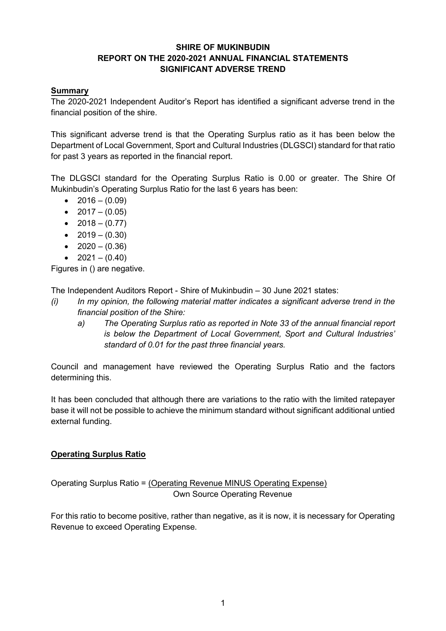# **SHIRE OF MUKINBUDIN REPORT ON THE 2020-2021 ANNUAL FINANCIAL STATEMENTS SIGNIFICANT ADVERSE TREND**

### **Summary**

The 2020-2021 Independent Auditor's Report has identified a significant adverse trend in the financial position of the shire.

This significant adverse trend is that the Operating Surplus ratio as it has been below the Department of Local Government, Sport and Cultural Industries (DLGSCI) standard for that ratio for past 3 years as reported in the financial report.

The DLGSCI standard for the Operating Surplus Ratio is 0.00 or greater. The Shire Of Mukinbudin's Operating Surplus Ratio for the last 6 years has been:

- $2016 (0.09)$
- $2017 (0.05)$
- $2018 (0.77)$
- $2019 (0.30)$
- $2020 (0.36)$
- $2021 (0.40)$

Figures in () are negative.

The Independent Auditors Report - Shire of Mukinbudin – 30 June 2021 states:

- *(i) In my opinion, the following material matter indicates a significant adverse trend in the financial position of the Shire:*
	- *a) The Operating Surplus ratio as reported in Note 33 of the annual financial report is below the Department of Local Government, Sport and Cultural Industries' standard of 0.01 for the past three financial years.*

Council and management have reviewed the Operating Surplus Ratio and the factors determining this.

It has been concluded that although there are variations to the ratio with the limited ratepayer base it will not be possible to achieve the minimum standard without significant additional untied external funding.

# **Operating Surplus Ratio**

Operating Surplus Ratio = (Operating Revenue MINUS Operating Expense) Own Source Operating Revenue

For this ratio to become positive, rather than negative, as it is now, it is necessary for Operating Revenue to exceed Operating Expense.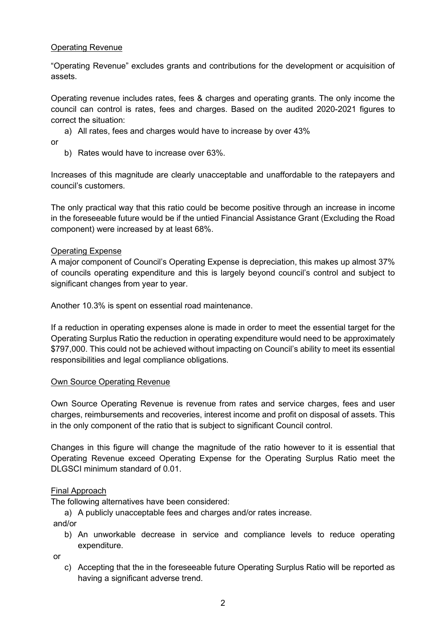### Operating Revenue

"Operating Revenue" excludes grants and contributions for the development or acquisition of assets.

Operating revenue includes rates, fees & charges and operating grants. The only income the council can control is rates, fees and charges. Based on the audited 2020-2021 figures to correct the situation:

a) All rates, fees and charges would have to increase by over 43%

or

b) Rates would have to increase over 63%.

Increases of this magnitude are clearly unacceptable and unaffordable to the ratepayers and council's customers.

The only practical way that this ratio could be become positive through an increase in income in the foreseeable future would be if the untied Financial Assistance Grant (Excluding the Road component) were increased by at least 68%.

### Operating Expense

A major component of Council's Operating Expense is depreciation, this makes up almost 37% of councils operating expenditure and this is largely beyond council's control and subject to significant changes from year to year.

Another 10.3% is spent on essential road maintenance.

If a reduction in operating expenses alone is made in order to meet the essential target for the Operating Surplus Ratio the reduction in operating expenditure would need to be approximately \$797,000. This could not be achieved without impacting on Council's ability to meet its essential responsibilities and legal compliance obligations.

#### Own Source Operating Revenue

Own Source Operating Revenue is revenue from rates and service charges, fees and user charges, reimbursements and recoveries, interest income and profit on disposal of assets. This in the only component of the ratio that is subject to significant Council control.

Changes in this figure will change the magnitude of the ratio however to it is essential that Operating Revenue exceed Operating Expense for the Operating Surplus Ratio meet the DLGSCI minimum standard of 0.01.

#### Final Approach

The following alternatives have been considered:

a) A publicly unacceptable fees and charges and/or rates increase.

and/or

b) An unworkable decrease in service and compliance levels to reduce operating expenditure.

or

c) Accepting that the in the foreseeable future Operating Surplus Ratio will be reported as having a significant adverse trend.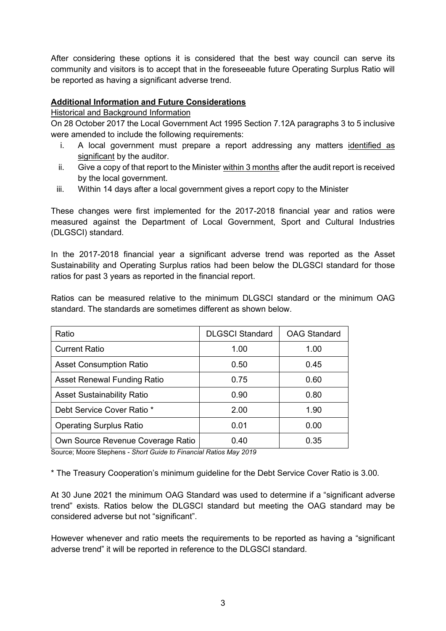After considering these options it is considered that the best way council can serve its community and visitors is to accept that in the foreseeable future Operating Surplus Ratio will be reported as having a significant adverse trend.

# **Additional Information and Future Considerations**

#### Historical and Background Information

On 28 October 2017 the Local Government Act 1995 Section 7.12A paragraphs 3 to 5 inclusive were amended to include the following requirements:

- i. A local government must prepare a report addressing any matters identified as significant by the auditor.
- ii. Give a copy of that report to the Minister  $within 3 months$  after the audit report is received by the local government.
- iii. Within 14 days after a local government gives a report copy to the Minister

These changes were first implemented for the 2017-2018 financial year and ratios were measured against the Department of Local Government, Sport and Cultural Industries (DLGSCI) standard.

In the 2017-2018 financial year a significant adverse trend was reported as the Asset Sustainability and Operating Surplus ratios had been below the DLGSCI standard for those ratios for past 3 years as reported in the financial report.

Ratios can be measured relative to the minimum DLGSCI standard or the minimum OAG standard. The standards are sometimes different as shown below.

| Ratio                              | <b>DLGSCI Standard</b> | <b>OAG Standard</b> |
|------------------------------------|------------------------|---------------------|
| <b>Current Ratio</b>               | 1.00                   | 1.00                |
| <b>Asset Consumption Ratio</b>     | 0.50                   | 0.45                |
| <b>Asset Renewal Funding Ratio</b> | 0.75                   | 0.60                |
| <b>Asset Sustainability Ratio</b>  | 0.90                   | 0.80                |
| Debt Service Cover Ratio *         | 2.00                   | 1.90                |
| <b>Operating Surplus Ratio</b>     | 0.01                   | 0.00                |
| Own Source Revenue Coverage Ratio  | 0.40                   | 0.35                |

Source; Moore Stephens - *Short Guide to Financial Ratios May 2019*

\* The Treasury Cooperation's minimum guideline for the Debt Service Cover Ratio is 3.00.

At 30 June 2021 the minimum OAG Standard was used to determine if a "significant adverse trend" exists. Ratios below the DLGSCI standard but meeting the OAG standard may be considered adverse but not "significant".

However whenever and ratio meets the requirements to be reported as having a "significant adverse trend" it will be reported in reference to the DLGSCI standard.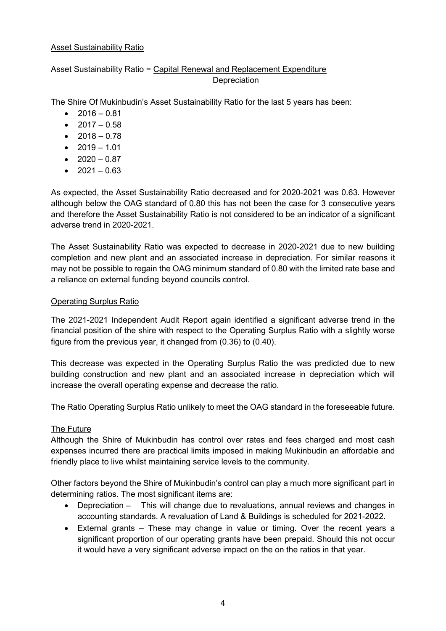### Asset Sustainability Ratio

# Asset Sustainability Ratio = Capital Renewal and Replacement Expenditure **Depreciation**

The Shire Of Mukinbudin's Asset Sustainability Ratio for the last 5 years has been:

- $2016 0.81$
- $2017 0.58$
- $2018 0.78$
- $2019 1.01$
- $2020 0.87$
- $2021 0.63$

As expected, the Asset Sustainability Ratio decreased and for 2020-2021 was 0.63. However although below the OAG standard of 0.80 this has not been the case for 3 consecutive years and therefore the Asset Sustainability Ratio is not considered to be an indicator of a significant adverse trend in 2020-2021.

The Asset Sustainability Ratio was expected to decrease in 2020-2021 due to new building completion and new plant and an associated increase in depreciation. For similar reasons it may not be possible to regain the OAG minimum standard of 0.80 with the limited rate base and a reliance on external funding beyond councils control.

# Operating Surplus Ratio

The 2021-2021 Independent Audit Report again identified a significant adverse trend in the financial position of the shire with respect to the Operating Surplus Ratio with a slightly worse figure from the previous year, it changed from (0.36) to (0.40).

This decrease was expected in the Operating Surplus Ratio the was predicted due to new building construction and new plant and an associated increase in depreciation which will increase the overall operating expense and decrease the ratio.

The Ratio Operating Surplus Ratio unlikely to meet the OAG standard in the foreseeable future.

# The Future

Although the Shire of Mukinbudin has control over rates and fees charged and most cash expenses incurred there are practical limits imposed in making Mukinbudin an affordable and friendly place to live whilst maintaining service levels to the community.

Other factors beyond the Shire of Mukinbudin's control can play a much more significant part in determining ratios. The most significant items are:

- Depreciation This will change due to revaluations, annual reviews and changes in accounting standards. A revaluation of Land & Buildings is scheduled for 2021-2022.
- External grants These may change in value or timing. Over the recent years a significant proportion of our operating grants have been prepaid. Should this not occur it would have a very significant adverse impact on the on the ratios in that year.